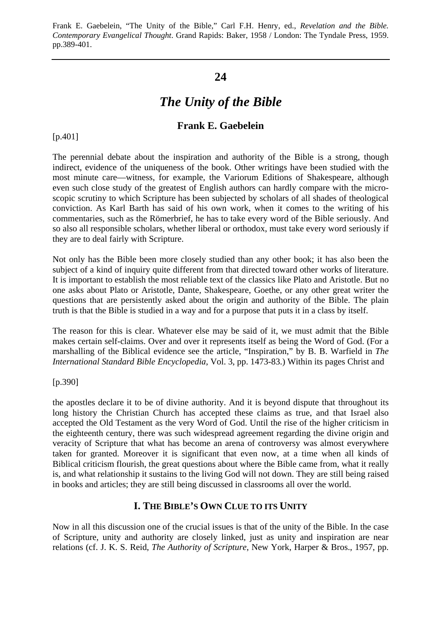# **24**

# *The Unity of the Bible*

## **Frank E. Gaebelein**

[p.401]

The perennial debate about the inspiration and authority of the Bible is a strong, though indirect, evidence of the uniqueness of the book. Other writings have been studied with the most minute care—witness, for example, the Variorum Editions of Shakespeare, although even such close study of the greatest of English authors can hardly compare with the microscopic scrutiny to which Scripture has been subjected by scholars of all shades of theological conviction. As Karl Barth has said of his own work, when it comes to the writing of his commentaries, such as the Römerbrief, he has to take every word of the Bible seriously. And so also all responsible scholars, whether liberal or orthodox, must take every word seriously if they are to deal fairly with Scripture.

Not only has the Bible been more closely studied than any other book; it has also been the subject of a kind of inquiry quite different from that directed toward other works of literature. It is important to establish the most reliable text of the classics like Plato and Aristotle. But no one asks about Plato or Aristotle, Dante, Shakespeare, Goethe, or any other great writer the questions that are persistently asked about the origin and authority of the Bible. The plain truth is that the Bible is studied in a way and for a purpose that puts it in a class by itself.

The reason for this is clear. Whatever else may be said of it, we must admit that the Bible makes certain self-claims. Over and over it represents itself as being the Word of God. (For a marshalling of the Biblical evidence see the article, "Inspiration," by B. B. Warfield in *The International Standard Bible Encyclopedia*, Vol. 3, pp. 1473-83.) Within its pages Christ and

#### [p.390]

the apostles declare it to be of divine authority. And it is beyond dispute that throughout its long history the Christian Church has accepted these claims as true, and that Israel also accepted the Old Testament as the very Word of God. Until the rise of the higher criticism in the eighteenth century, there was such widespread agreement regarding the divine origin and veracity of Scripture that what has become an arena of controversy was almost everywhere taken for granted. Moreover it is significant that even now, at a time when all kinds of Biblical criticism flourish, the great questions about where the Bible came from, what it really is, and what relationship it sustains to the living God will not down. They are still being raised in books and articles; they are still being discussed in classrooms all over the world.

### **I. THE BIBLE'S OWN CLUE TO ITS UNITY**

Now in all this discussion one of the crucial issues is that of the unity of the Bible. In the case of Scripture, unity and authority are closely linked, just as unity and inspiration are near relations (cf. J. K. S. Reid, *The Authority of Scripture*, New York, Harper & Bros., 1957, pp.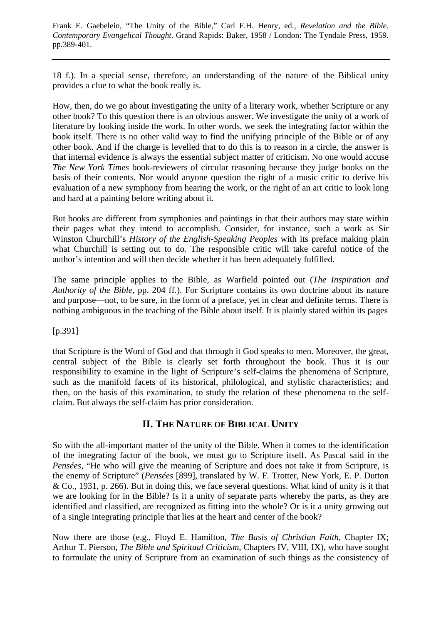18 f.). In a special sense, therefore, an understanding of the nature of the Biblical unity provides a clue to what the book really is.

How, then, do we go about investigating the unity of a literary work, whether Scripture or any other book? To this question there is an obvious answer. We investigate the unity of a work of literature by looking inside the work. In other words, we seek the integrating factor within the book itself. There is no other valid way to find the unifying principle of the Bible or of any other book. And if the charge is levelled that to do this is to reason in a circle, the answer is that internal evidence is always the essential subject matter of criticism. No one would accuse *The New York Times* book-reviewers of circular reasoning because they judge books on the basis of their contents. Nor would anyone question the right of a music critic to derive his evaluation of a new symphony from hearing the work, or the right of an art critic to look long and hard at a painting before writing about it.

But books are different from symphonies and paintings in that their authors may state within their pages what they intend to accomplish. Consider, for instance, such a work as Sir Winston Churchill's *History of the English-Speaking Peoples* with its preface making plain what Churchill is setting out to do. The responsible critic will take careful notice of the author's intention and will then decide whether it has been adequately fulfilled.

The same principle applies to the Bible, as Warfield pointed out (*The Inspiration and Authority of the Bible*, pp. 204 ff.). For Scripture contains its own doctrine about its nature and purpose—not, to be sure, in the form of a preface, yet in clear and definite terms. There is nothing ambiguous in the teaching of the Bible about itself. It is plainly stated within its pages

[p.391]

that Scripture is the Word of God and that through it God speaks to men. Moreover, the great, central subject of the Bible is clearly set forth throughout the book. Thus it is our responsibility to examine in the light of Scripture's self-claims the phenomena of Scripture, such as the manifold facets of its historical, philological, and stylistic characteristics; and then, on the basis of this examination, to study the relation of these phenomena to the selfclaim. But always the self-claim has prior consideration.

# **II. THE NATURE OF BIBLICAL UNITY**

So with the all-important matter of the unity of the Bible. When it comes to the identification of the integrating factor of the book, we must go to Scripture itself. As Pascal said in the *Pensées*, "He who will give the meaning of Scripture and does not take it from Scripture, is the enemy of Scripture" (*Pensées* [899], translated by W. F. Trotter, New York, E. P. Dutton & Co., 1931, p. 266). But in doing this, we face several questions. What kind of unity is it that we are looking for in the Bible? Is it a unity of separate parts whereby the parts, as they are identified and classified, are recognized as fitting into the whole? Or is it a unity growing out of a single integrating principle that lies at the heart and center of the book?

Now there are those (e.g., Floyd E. Hamilton, *The Basis of Christian Faith*, Chapter IX; Arthur T. Pierson, *The Bible and Spiritual Criticism*, Chapters IV, VIII, IX), who have sought to formulate the unity of Scripture from an examination of such things as the consistency of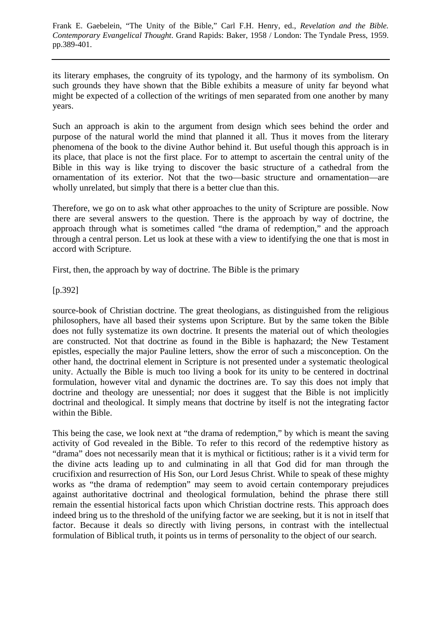its literary emphases, the congruity of its typology, and the harmony of its symbolism. On such grounds they have shown that the Bible exhibits a measure of unity far beyond what might be expected of a collection of the writings of men separated from one another by many years.

Such an approach is akin to the argument from design which sees behind the order and purpose of the natural world the mind that planned it all. Thus it moves from the literary phenomena of the book to the divine Author behind it. But useful though this approach is in its place, that place is not the first place. For to attempt to ascertain the central unity of the Bible in this way is like trying to discover the basic structure of a cathedral from the ornamentation of its exterior. Not that the two—basic structure and ornamentation—are wholly unrelated, but simply that there is a better clue than this.

Therefore, we go on to ask what other approaches to the unity of Scripture are possible. Now there are several answers to the question. There is the approach by way of doctrine, the approach through what is sometimes called "the drama of redemption," and the approach through a central person. Let us look at these with a view to identifying the one that is most in accord with Scripture.

First, then, the approach by way of doctrine. The Bible is the primary

[p.392]

source-book of Christian doctrine. The great theologians, as distinguished from the religious philosophers, have all based their systems upon Scripture. But by the same token the Bible does not fully systematize its own doctrine. It presents the material out of which theologies are constructed. Not that doctrine as found in the Bible is haphazard; the New Testament epistles, especially the major Pauline letters, show the error of such a misconception. On the other hand, the doctrinal element in Scripture is not presented under a systematic theological unity. Actually the Bible is much too living a book for its unity to be centered in doctrinal formulation, however vital and dynamic the doctrines are. To say this does not imply that doctrine and theology are unessential; nor does it suggest that the Bible is not implicitly doctrinal and theological. It simply means that doctrine by itself is not the integrating factor within the Bible.

This being the case, we look next at "the drama of redemption," by which is meant the saving activity of God revealed in the Bible. To refer to this record of the redemptive history as "drama" does not necessarily mean that it is mythical or fictitious; rather is it a vivid term for the divine acts leading up to and culminating in all that God did for man through the crucifixion and resurrection of His Son, our Lord Jesus Christ. While to speak of these mighty works as "the drama of redemption" may seem to avoid certain contemporary prejudices against authoritative doctrinal and theological formulation, behind the phrase there still remain the essential historical facts upon which Christian doctrine rests. This approach does indeed bring us to the threshold of the unifying factor we are seeking, but it is not in itself that factor. Because it deals so directly with living persons, in contrast with the intellectual formulation of Biblical truth, it points us in terms of personality to the object of our search.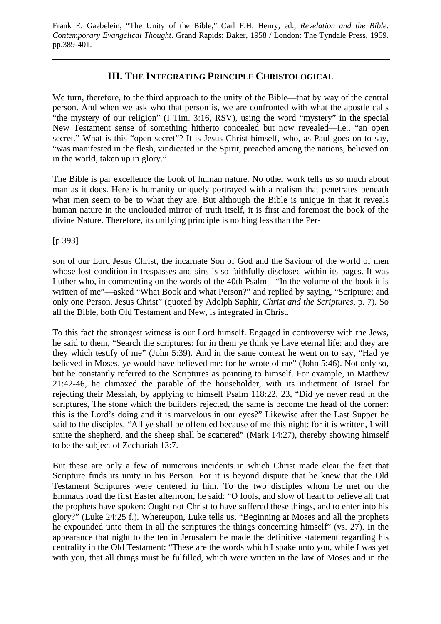## **III. THE INTEGRATING PRINCIPLE CHRISTOLOGICAL**

We turn, therefore, to the third approach to the unity of the Bible—that by way of the central person. And when we ask who that person is, we are confronted with what the apostle calls "the mystery of our religion" (I Tim. 3:16, RSV), using the word "mystery" in the special New Testament sense of something hitherto concealed but now revealed—i.e., "an open secret." What is this "open secret"? It is Jesus Christ himself, who, as Paul goes on to say, "was manifested in the flesh, vindicated in the Spirit, preached among the nations, believed on in the world, taken up in glory."

The Bible is par excellence the book of human nature. No other work tells us so much about man as it does. Here is humanity uniquely portrayed with a realism that penetrates beneath what men seem to be to what they are. But although the Bible is unique in that it reveals human nature in the unclouded mirror of truth itself, it is first and foremost the book of the divine Nature. Therefore, its unifying principle is nothing less than the Per-

[p.393]

son of our Lord Jesus Christ, the incarnate Son of God and the Saviour of the world of men whose lost condition in trespasses and sins is so faithfully disclosed within its pages. It was Luther who, in commenting on the words of the 40th Psalm—"In the volume of the book it is written of me"—asked "What Book and what Person?" and replied by saying, "Scripture; and only one Person, Jesus Christ" (quoted by Adolph Saphir, *Christ and the Scriptures*, p. 7). So all the Bible, both Old Testament and New, is integrated in Christ.

To this fact the strongest witness is our Lord himself. Engaged in controversy with the Jews, he said to them, "Search the scriptures: for in them ye think ye have eternal life: and they are they which testify of me" (John 5:39). And in the same context he went on to say, "Had ye believed in Moses, ye would have believed me: for he wrote of me" (John 5:46). Not only so, but he constantly referred to the Scriptures as pointing to himself. For example, in Matthew 21:42-46, he climaxed the parable of the householder, with its indictment of Israel for rejecting their Messiah, by applying to himself Psalm 118:22, 23, "Did ye never read in the scriptures, The stone which the builders rejected, the same is become the head of the corner: this is the Lord's doing and it is marvelous in our eyes?" Likewise after the Last Supper he said to the disciples, "All ye shall be offended because of me this night: for it is written, I will smite the shepherd, and the sheep shall be scattered" (Mark 14:27), thereby showing himself to be the subject of Zechariah 13:7.

But these are only a few of numerous incidents in which Christ made clear the fact that Scripture finds its unity in his Person. For it is beyond dispute that he knew that the Old Testament Scriptures were centered in him. To the two disciples whom he met on the Emmaus road the first Easter afternoon, he said: "O fools, and slow of heart to believe all that the prophets have spoken: Ought not Christ to have suffered these things, and to enter into his glory?" (Luke 24:25 f.). Whereupon, Luke tells us, "Beginning at Moses and all the prophets he expounded unto them in all the scriptures the things concerning himself" (vs. 27). In the appearance that night to the ten in Jerusalem he made the definitive statement regarding his centrality in the Old Testament: "These are the words which I spake unto you, while I was yet with you, that all things must be fulfilled, which were written in the law of Moses and in the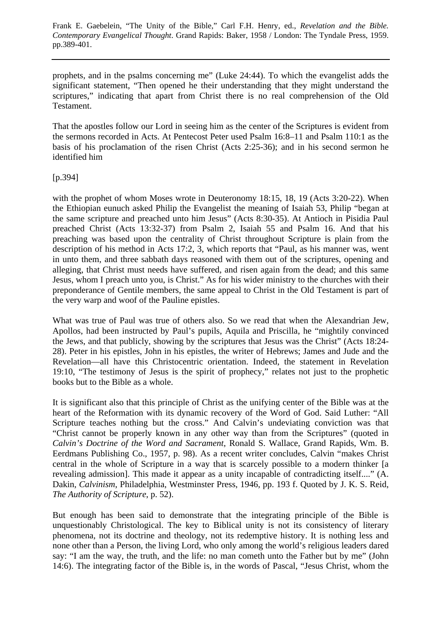prophets, and in the psalms concerning me" (Luke 24:44). To which the evangelist adds the significant statement, "Then opened he their understanding that they might understand the scriptures," indicating that apart from Christ there is no real comprehension of the Old Testament.

That the apostles follow our Lord in seeing him as the center of the Scriptures is evident from the sermons recorded in Acts. At Pentecost Peter used Psalm 16:8–11 and Psalm 110:1 as the basis of his proclamation of the risen Christ (Acts 2:25-36); and in his second sermon he identified him

[p.394]

with the prophet of whom Moses wrote in Deuteronomy 18:15, 18, 19 (Acts 3:20-22). When the Ethiopian eunuch asked Philip the Evangelist the meaning of Isaiah 53, Philip "began at the same scripture and preached unto him Jesus" (Acts 8:30-35). At Antioch in Pisidia Paul preached Christ (Acts 13:32-37) from Psalm 2, Isaiah 55 and Psalm 16. And that his preaching was based upon the centrality of Christ throughout Scripture is plain from the description of his method in Acts 17:2, 3, which reports that "Paul, as his manner was, went in unto them, and three sabbath days reasoned with them out of the scriptures, opening and alleging, that Christ must needs have suffered, and risen again from the dead; and this same Jesus, whom I preach unto you, is Christ." As for his wider ministry to the churches with their preponderance of Gentile members, the same appeal to Christ in the Old Testament is part of the very warp and woof of the Pauline epistles.

What was true of Paul was true of others also. So we read that when the Alexandrian Jew, Apollos, had been instructed by Paul's pupils, Aquila and Priscilla, he "mightily convinced the Jews, and that publicly, showing by the scriptures that Jesus was the Christ" (Acts 18:24- 28). Peter in his epistles, John in his epistles, the writer of Hebrews; James and Jude and the Revelation—all have this Christocentric orientation. Indeed, the statement in Revelation 19:10, "The testimony of Jesus is the spirit of prophecy," relates not just to the prophetic books but to the Bible as a whole.

It is significant also that this principle of Christ as the unifying center of the Bible was at the heart of the Reformation with its dynamic recovery of the Word of God. Said Luther: "All Scripture teaches nothing but the cross." And Calvin's undeviating conviction was that "Christ cannot be properly known in any other way than from the Scriptures" (quoted in *Calvin's Doctrine of the Word and Sacrament*, Ronald S. Wallace, Grand Rapids, Wm. B. Eerdmans Publishing Co., 1957, p. 98). As a recent writer concludes, Calvin "makes Christ central in the whole of Scripture in a way that is scarcely possible to a modern thinker [a revealing admission]. This made it appear as a unity incapable of contradicting itself...." (A. Dakin, *Calvinism*, Philadelphia, Westminster Press, 1946, pp. 193 f. Quoted by J. K. S. Reid, *The Authority of Scripture*, p. 52).

But enough has been said to demonstrate that the integrating principle of the Bible is unquestionably Christological. The key to Biblical unity is not its consistency of literary phenomena, not its doctrine and theology, not its redemptive history. It is nothing less and none other than a Person, the living Lord, who only among the world's religious leaders dared say: "I am the way, the truth, and the life: no man cometh unto the Father but by me" (John 14:6). The integrating factor of the Bible is, in the words of Pascal, "Jesus Christ, whom the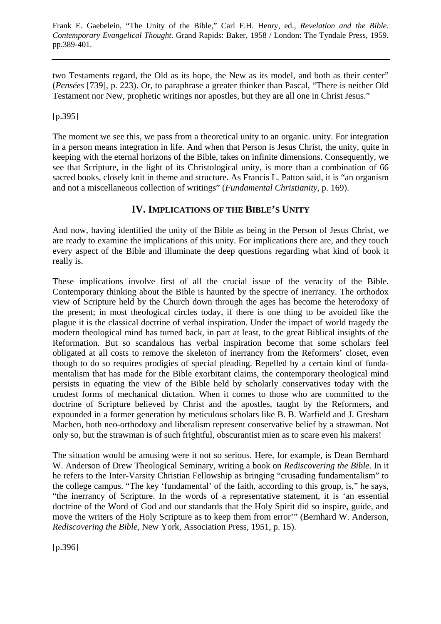two Testaments regard, the Old as its hope, the New as its model, and both as their center" (*Pensées* [739], p. 223). Or, to paraphrase a greater thinker than Pascal, "There is neither Old Testament nor New, prophetic writings nor apostles, but they are all one in Christ Jesus."

[p.395]

The moment we see this, we pass from a theoretical unity to an organic. unity. For integration in a person means integration in life. And when that Person is Jesus Christ, the unity, quite in keeping with the eternal horizons of the Bible, takes on infinite dimensions. Consequently, we see that Scripture, in the light of its Christological unity, is more than a combination of 66 sacred books, closely knit in theme and structure. As Francis L. Patton said, it is "an organism and not a miscellaneous collection of writings" (*Fundamental Christianity*, p. 169).

#### **IV. IMPLICATIONS OF THE BIBLE'S UNITY**

And now, having identified the unity of the Bible as being in the Person of Jesus Christ, we are ready to examine the implications of this unity. For implications there are, and they touch every aspect of the Bible and illuminate the deep questions regarding what kind of book it really is.

These implications involve first of all the crucial issue of the veracity of the Bible. Contemporary thinking about the Bible is haunted by the spectre of inerrancy. The orthodox view of Scripture held by the Church down through the ages has become the heterodoxy of the present; in most theological circles today, if there is one thing to be avoided like the plague it is the classical doctrine of verbal inspiration. Under the impact of world tragedy the modern theological mind has turned back, in part at least, to the great Biblical insights of the Reformation. But so scandalous has verbal inspiration become that some scholars feel obligated at all costs to remove the skeleton of inerrancy from the Reformers' closet, even though to do so requires prodigies of special pleading. Repelled by a certain kind of fundamentalism that has made for the Bible exorbitant claims, the contemporary theological mind persists in equating the view of the Bible held by scholarly conservatives today with the crudest forms of mechanical dictation. When it comes to those who are committed to the doctrine of Scripture believed by Christ and the apostles, taught by the Reformers, and expounded in a former generation by meticulous scholars like B. B. Warfield and J. Gresham Machen, both neo-orthodoxy and liberalism represent conservative belief by a strawman. Not only so, but the strawman is of such frightful, obscurantist mien as to scare even his makers!

The situation would be amusing were it not so serious. Here, for example, is Dean Bernhard W. Anderson of Drew Theological Seminary, writing a book on *Rediscovering the Bible*. In it he refers to the Inter-Varsity Christian Fellowship as bringing "crusading fundamentalism" to the college campus. "The key 'fundamental' of the faith, according to this group, is," he says, "the inerrancy of Scripture. In the words of a representative statement, it is 'an essential doctrine of the Word of God and our standards that the Holy Spirit did so inspire, guide, and move the writers of the Holy Scripture as to keep them from error'" (Bernhard W. Anderson, *Rediscovering the Bible*, New York, Association Press, 1951, p. 15).

[p.396]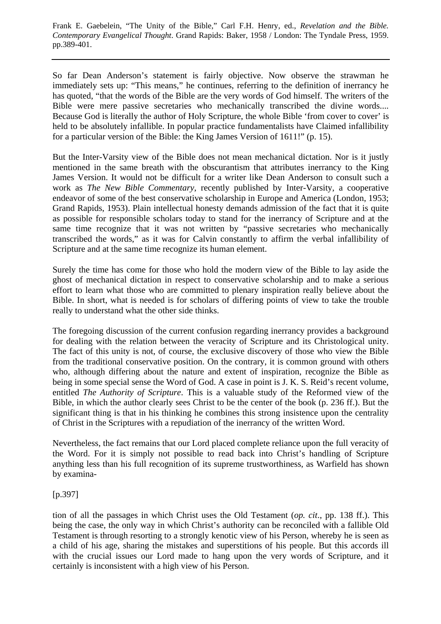So far Dean Anderson's statement is fairly objective. Now observe the strawman he immediately sets up: "This means," he continues, referring to the definition of inerrancy he has quoted, "that the words of the Bible are the very words of God himself. The writers of the Bible were mere passive secretaries who mechanically transcribed the divine words.... Because God is literally the author of Holy Scripture, the whole Bible 'from cover to cover' is held to be absolutely infallible. In popular practice fundamentalists have Claimed infallibility for a particular version of the Bible: the King James Version of 1611!" (p. 15).

But the Inter-Varsity view of the Bible does not mean mechanical dictation. Nor is it justly mentioned in the same breath with the obscurantism that attributes inerrancy to the King James Version. It would not be difficult for a writer like Dean Anderson to consult such a work as *The New Bible Commentary*, recently published by Inter-Varsity, a cooperative endeavor of some of the best conservative scholarship in Europe and America (London, 1953; Grand Rapids, 1953). Plain intellectual honesty demands admission of the fact that it is quite as possible for responsible scholars today to stand for the inerrancy of Scripture and at the same time recognize that it was not written by "passive secretaries who mechanically transcribed the words," as it was for Calvin constantly to affirm the verbal infallibility of Scripture and at the same time recognize its human element.

Surely the time has come for those who hold the modern view of the Bible to lay aside the ghost of mechanical dictation in respect to conservative scholarship and to make a serious effort to learn what those who are committed to plenary inspiration really believe about the Bible. In short, what is needed is for scholars of differing points of view to take the trouble really to understand what the other side thinks.

The foregoing discussion of the current confusion regarding inerrancy provides a background for dealing with the relation between the veracity of Scripture and its Christological unity. The fact of this unity is not, of course, the exclusive discovery of those who view the Bible from the traditional conservative position. On the contrary, it is common ground with others who, although differing about the nature and extent of inspiration, recognize the Bible as being in some special sense the Word of God. A case in point is J. K. S. Reid's recent volume, entitled *The Authority of Scripture*. This is a valuable study of the Reformed view of the Bible, in which the author clearly sees Christ to be the center of the book (p. 236 ff.). But the significant thing is that in his thinking he combines this strong insistence upon the centrality of Christ in the Scriptures with a repudiation of the inerrancy of the written Word.

Nevertheless, the fact remains that our Lord placed complete reliance upon the full veracity of the Word. For it is simply not possible to read back into Christ's handling of Scripture anything less than his full recognition of its supreme trustworthiness, as Warfield has shown by examina-

[p.397]

tion of all the passages in which Christ uses the Old Testament (*op. cit*., pp. 138 ff.). This being the case, the only way in which Christ's authority can be reconciled with a fallible Old Testament is through resorting to a strongly kenotic view of his Person, whereby he is seen as a child of his age, sharing the mistakes and superstitions of his people. But this accords ill with the crucial issues our Lord made to hang upon the very words of Scripture, and it certainly is inconsistent with a high view of his Person.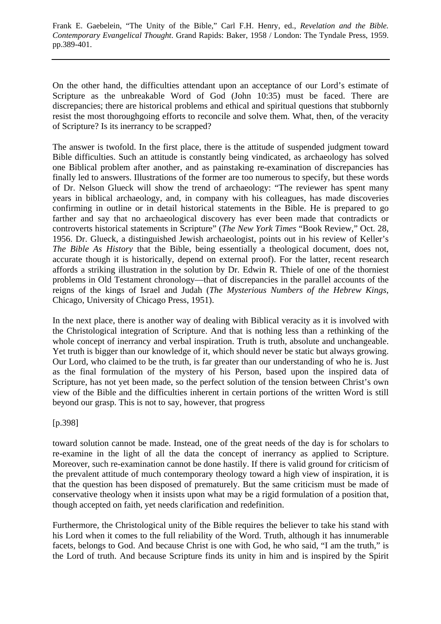On the other hand, the difficulties attendant upon an acceptance of our Lord's estimate of Scripture as the unbreakable Word of God (John 10:35) must be faced. There are discrepancies; there are historical problems and ethical and spiritual questions that stubbornly resist the most thoroughgoing efforts to reconcile and solve them. What, then, of the veracity of Scripture? Is its inerrancy to be scrapped?

The answer is twofold. In the first place, there is the attitude of suspended judgment toward Bible difficulties. Such an attitude is constantly being vindicated, as archaeology has solved one Biblical problem after another, and as painstaking re-examination of discrepancies has finally led to answers. Illustrations of the former are too numerous to specify, but these words of Dr. Nelson Glueck will show the trend of archaeology: "The reviewer has spent many years in biblical archaeology, and, in company with his colleagues, has made discoveries confirming in outline or in detail historical statements in the Bible. He is prepared to go farther and say that no archaeological discovery has ever been made that contradicts or controverts historical statements in Scripture" (*The New York Times* "Book Review," Oct. 28, 1956. Dr. Glueck, a distinguished Jewish archaeologist, points out in his review of Keller's *The Bible As History* that the Bible, being essentially a theological document, does not, accurate though it is historically, depend on external proof). For the latter, recent research affords a striking illustration in the solution by Dr. Edwin R. Thiele of one of the thorniest problems in Old Testament chronology—that of discrepancies in the parallel accounts of the reigns of the kings of Israel and Judah (*The Mysterious Numbers of the Hebrew Kings*, Chicago, University of Chicago Press, 1951).

In the next place, there is another way of dealing with Biblical veracity as it is involved with the Christological integration of Scripture. And that is nothing less than a rethinking of the whole concept of inerrancy and verbal inspiration. Truth is truth, absolute and unchangeable. Yet truth is bigger than our knowledge of it, which should never be static but always growing. Our Lord, who claimed to be the truth, is far greater than our understanding of who he is. Just as the final formulation of the mystery of his Person, based upon the inspired data of Scripture, has not yet been made, so the perfect solution of the tension between Christ's own view of the Bible and the difficulties inherent in certain portions of the written Word is still beyond our grasp. This is not to say, however, that progress

[p.398]

toward solution cannot be made. Instead, one of the great needs of the day is for scholars to re-examine in the light of all the data the concept of inerrancy as applied to Scripture. Moreover, such re-examination cannot be done hastily. If there is valid ground for criticism of the prevalent attitude of much contemporary theology toward a high view of inspiration, it is that the question has been disposed of prematurely. But the same criticism must be made of conservative theology when it insists upon what may be a rigid formulation of a position that, though accepted on faith, yet needs clarification and redefinition.

Furthermore, the Christological unity of the Bible requires the believer to take his stand with his Lord when it comes to the full reliability of the Word. Truth, although it has innumerable facets, belongs to God. And because Christ is one with God, he who said, "I am the truth," is the Lord of truth. And because Scripture finds its unity in him and is inspired by the Spirit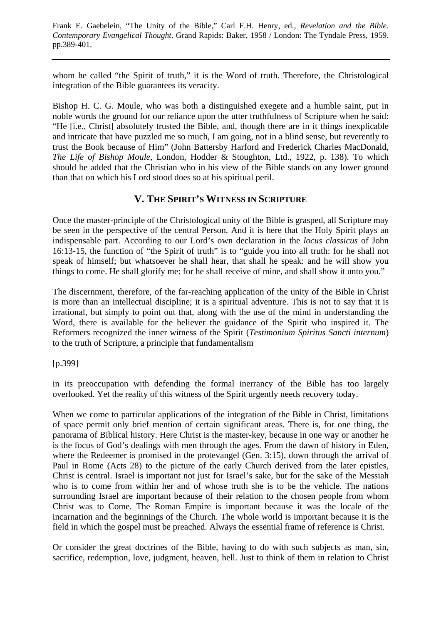whom he called "the Spirit of truth," it is the Word of truth. Therefore, the Christological integration of the Bible guarantees its veracity.

Bishop H. C. G. Moule, who was both a distinguished exegete and a humble saint, put in noble words the ground for our reliance upon the utter truthfulness of Scripture when he said: "He [i.e., Christ] absolutely trusted the Bible, and, though there are in it things inexplicable and intricate that have puzzled me so much, I am going, not in a blind sense, but reverently to trust the Book because of Him" (John Battersby Harford and Frederick Charles MacDonald, *The Life of Bishop Moule*, London, Hodder & Stoughton, Ltd., 1922, p. 138). To which should be added that the Christian who in his view of the Bible stands on any lower ground than that on which his Lord stood does so at his spiritual peril.

#### **V. THE SPIRIT'S WITNESS IN SCRIPTURE**

Once the master-principle of the Christological unity of the Bible is grasped, all Scripture may be seen in the perspective of the central Person. And it is here that the Holy Spirit plays an indispensable part. According to our Lord's own declaration in the *locus classicus* of John 16:13-15, the function of "the Spirit of truth" is to "guide you into all truth: for he shall not speak of himself; but whatsoever he shall hear, that shall he speak: and he will show you things to come. He shall glorify me: for he shall receive of mine, and shall show it unto you."

The discernment, therefore, of the far-reaching application of the unity of the Bible in Christ is more than an intellectual discipline; it is a spiritual adventure. This is not to say that it is irrational, but simply to point out that, along with the use of the mind in understanding the Word, there is available for the believer the guidance of the Spirit who inspired it. The Reformers recognized the inner witness of the Spirit (*Testimonium Spiritus Sancti internum*) to the truth of Scripture, a principle that fundamentalism

[p.399]

in its preoccupation with defending the formal inerrancy of the Bible has too largely overlooked. Yet the reality of this witness of the Spirit urgently needs recovery today.

When we come to particular applications of the integration of the Bible in Christ, limitations of space permit only brief mention of certain significant areas. There is, for one thing, the panorama of Biblical history. Here Christ is the master-key, because in one way or another he is the focus of God's dealings with men through the ages. From the dawn of history in Eden, where the Redeemer is promised in the protevangel (Gen. 3:15), down through the arrival of Paul in Rome (Acts 28) to the picture of the early Church derived from the later epistles, Christ is central. Israel is important not just for Israel's sake, but for the sake of the Messiah who is to come from within her and of whose truth she is to be the vehicle. The nations surrounding Israel are important because of their relation to the chosen people from whom Christ was to Come. The Roman Empire is important because it was the locale of the incarnation and the beginnings of the Church. The whole world is important because it is the field in which the gospel must be preached. Always the essential frame of reference is Christ.

Or consider the great doctrines of the Bible, having to do with such subjects as man, sin, sacrifice, redemption, love, judgment, heaven, hell. Just to think of them in relation to Christ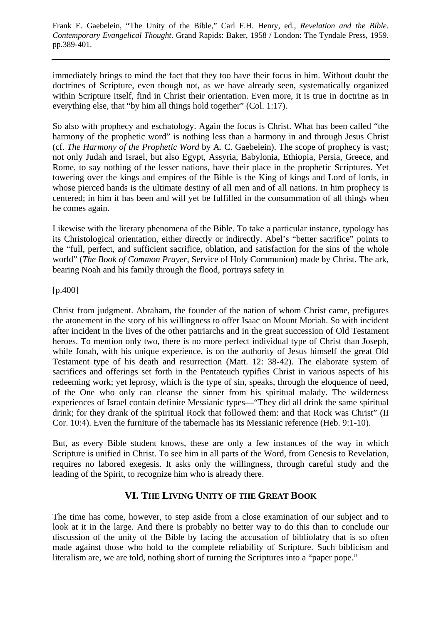immediately brings to mind the fact that they too have their focus in him. Without doubt the doctrines of Scripture, even though not, as we have already seen, systematically organized within Scripture itself, find in Christ their orientation. Even more, it is true in doctrine as in everything else, that "by him all things hold together" (Col. 1:17).

So also with prophecy and eschatology. Again the focus is Christ. What has been called "the harmony of the prophetic word" is nothing less than a harmony in and through Jesus Christ (cf. *The Harmony of the Prophetic Word* by A. C. Gaebelein). The scope of prophecy is vast; not only Judah and Israel, but also Egypt, Assyria, Babylonia, Ethiopia, Persia, Greece, and Rome, to say nothing of the lesser nations, have their place in the prophetic Scriptures. Yet towering over the kings and empires of the Bible is the King of kings and Lord of lords, in whose pierced hands is the ultimate destiny of all men and of all nations. In him prophecy is centered; in him it has been and will yet be fulfilled in the consummation of all things when he comes again.

Likewise with the literary phenomena of the Bible. To take a particular instance, typology has its Christological orientation, either directly or indirectly. Abel's "better sacrifice" points to the "full, perfect, and sufficient sacrifice, oblation, and satisfaction for the sins of the whole world" (*The Book of Common Prayer*, Service of Holy Communion) made by Christ. The ark, bearing Noah and his family through the flood, portrays safety in

#### [p.400]

Christ from judgment. Abraham, the founder of the nation of whom Christ came, prefigures the atonement in the story of his willingness to offer Isaac on Mount Moriah. So with incident after incident in the lives of the other patriarchs and in the great succession of Old Testament heroes. To mention only two, there is no more perfect individual type of Christ than Joseph, while Jonah, with his unique experience, is on the authority of Jesus himself the great Old Testament type of his death and resurrection (Matt. 12: 38-42). The elaborate system of sacrifices and offerings set forth in the Pentateuch typifies Christ in various aspects of his redeeming work; yet leprosy, which is the type of sin, speaks, through the eloquence of need, of the One who only can cleanse the sinner from his spiritual malady. The wilderness experiences of Israel contain definite Messianic types—"They did all drink the same spiritual drink; for they drank of the spiritual Rock that followed them: and that Rock was Christ" (II Cor. 10:4). Even the furniture of the tabernacle has its Messianic reference (Heb. 9:1-10).

But, as every Bible student knows, these are only a few instances of the way in which Scripture is unified in Christ. To see him in all parts of the Word, from Genesis to Revelation, requires no labored exegesis. It asks only the willingness, through careful study and the leading of the Spirit, to recognize him who is already there.

### **VI. THE LIVING UNITY OF THE GREAT BOOK**

The time has come, however, to step aside from a close examination of our subject and to look at it in the large. And there is probably no better way to do this than to conclude our discussion of the unity of the Bible by facing the accusation of bibliolatry that is so often made against those who hold to the complete reliability of Scripture. Such biblicism and literalism are, we are told, nothing short of turning the Scriptures into a "paper pope."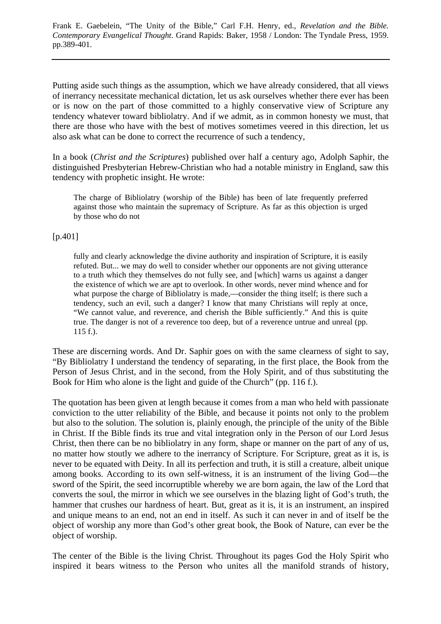Putting aside such things as the assumption, which we have already considered, that all views of inerrancy necessitate mechanical dictation, let us ask ourselves whether there ever has been or is now on the part of those committed to a highly conservative view of Scripture any tendency whatever toward bibliolatry. And if we admit, as in common honesty we must, that there are those who have with the best of motives sometimes veered in this direction, let us also ask what can be done to correct the recurrence of such a tendency,

In a book (*Christ and the Scriptures*) published over half a century ago, Adolph Saphir, the distinguished Presbyterian Hebrew-Christian who had a notable ministry in England, saw this tendency with prophetic insight. He wrote:

The charge of Bibliolatry (worship of the Bible) has been of late frequently preferred against those who maintain the supremacy of Scripture. As far as this objection is urged by those who do not

[p.401]

fully and clearly acknowledge the divine authority and inspiration of Scripture, it is easily refuted. But... we may do well to consider whether our opponents are not giving utterance to a truth which they themselves do not fully see, and [which] warns us against a danger the existence of which we are apt to overlook. In other words, never mind whence and for what purpose the charge of Bibliolatry is made,—consider the thing itself; is there such a tendency, such an evil, such a danger? I know that many Christians will reply at once, "We cannot value, and reverence, and cherish the Bible sufficiently." And this is quite true. The danger is not of a reverence too deep, but of a reverence untrue and unreal (pp. 115 f.).

These are discerning words. And Dr. Saphir goes on with the same clearness of sight to say, "By Bibliolatry I understand the tendency of separating, in the first place, the Book from the Person of Jesus Christ, and in the second, from the Holy Spirit, and of thus substituting the Book for Him who alone is the light and guide of the Church" (pp. 116 f.).

The quotation has been given at length because it comes from a man who held with passionate conviction to the utter reliability of the Bible, and because it points not only to the problem but also to the solution. The solution is, plainly enough, the principle of the unity of the Bible in Christ. If the Bible finds its true and vital integration only in the Person of our Lord Jesus Christ, then there can be no bibliolatry in any form, shape or manner on the part of any of us, no matter how stoutly we adhere to the inerrancy of Scripture. For Scripture, great as it is, is never to be equated with Deity. In all its perfection and truth, it is still a creature, albeit unique among books. According to its own self-witness, it is an instrument of the living God—the sword of the Spirit, the seed incorruptible whereby we are born again, the law of the Lord that converts the soul, the mirror in which we see ourselves in the blazing light of God's truth, the hammer that crushes our hardness of heart. But, great as it is, it is an instrument, an inspired and unique means to an end, not an end in itself. As such it can never in and of itself be the object of worship any more than God's other great book, the Book of Nature, can ever be the object of worship.

The center of the Bible is the living Christ. Throughout its pages God the Holy Spirit who inspired it bears witness to the Person who unites all the manifold strands of history,